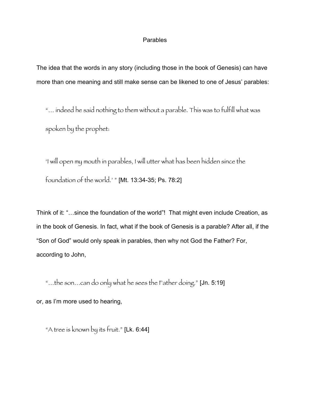## Parables

The idea that the words in any story (including those in the book of Genesis) can have more than one meaning and still make sense can be likened to one of Jesus' parables:

"… indeed he said nothing to them without a parable. This was to fulfill what was spoken by the prophet:

'I will open my mouth in parables, I will utter what has been hidden since the foundation of the world.' " [Mt. 13:34-35; Ps. 78:2]

Think of it: "…since the foundation of the world"! That might even include Creation, as in the book of Genesis. In fact, what if the book of Genesis is a parable? After all, if the "Son of God" would only speak in parables, then why not God the Father? For, according to John,

"…the son…can do only what he sees the Father doing." [Jn. 5:19] or, as I'm more used to hearing,

"A tree is known by its fruit." [Lk. 6:44]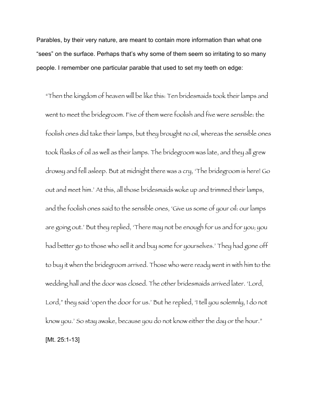Parables, by their very nature, are meant to contain more information than what one "sees" on the surface. Perhaps that's why some of them seem so irritating to so many people. I remember one particular parable that used to set my teeth on edge:

"Then the kingdom of heaven will be like this: Ten bridesmaids took their lamps and went to meet the bridegroom. Five of them were foolish and five were sensible: the foolish ones did take their lamps, but they brought no oil, whereas the sensible ones took flasks of oil as well as their lamps. The bridegroom was late, and they all grew drowsy and fell asleep. But at midnight there was a cry, 'The bridegroom is here! Go out and meet him.' At this, all those bridesmaids woke up and trimmed their lamps, and the foolish ones said to the sensible ones, 'Give us some of your oil: our lamps are going out.' But they replied, 'There may not be enough for us and for you; you had better go to those who sell it and buy some for yourselves.' They had gone off to buy it when the bridegroom arrived. Those who were ready went in with him to the wedding hall and the door was closed. The other bridesmaids arrived later. 'Lord, Lord," they said 'open the door for us.' But he replied, 'I tell you solemnly, I do not know you.' So stay awake, because you do not know either the day or the hour." [Mt. 25:1-13]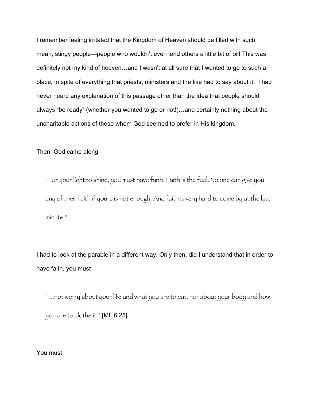I remember feeling irritated that the Kingdom of Heaven should be filled with such mean, stingy people—people who wouldn't even lend others a little bit of oil! This was definitely not my kind of heaven…and I wasn't at all sure that I wanted to go to such a place, in spite of everything that priests, ministers and the like had to say about it! I had never heard any explanation of this passage other than the idea that people should always "be ready" (whether you wanted to go or not!)…and certainly nothing about the uncharitable actions of those whom God seemed to prefer in His kingdom.

Then, God came along:

"For your light to shine, you must have faith. Faith is the fuel. No one can give you any of their faith if yours is not enough. And faith is very hard to come by at the last minute."

I had to look at the parable in a different way. Only then, did I understand that in order to have faith, you must

"...not worry about your life and what you are to eat, nor about your body and how you are to clothe it." [Mt. 6:25]

You must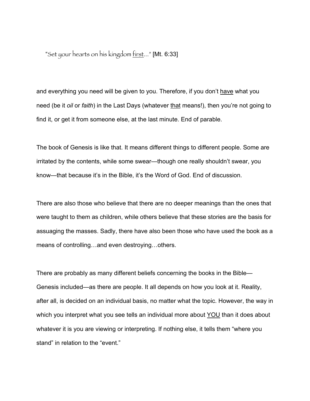"Set your hearts on his kingdom first..." [Mt. 6:33]

and everything you need will be given to you. Therefore, if you don't have what you need (be it *oil* or *faith*) in the Last Days (whatever that means!), then you're not going to find it, or get it from someone else, at the last minute. End of parable.

The book of Genesis is like that. It means different things to different people. Some are irritated by the contents, while some swear—though one really shouldn't swear, you know—that because it's in the Bible, it's the Word of God. End of discussion.

There are also those who believe that there are no deeper meanings than the ones that were taught to them as children, while others believe that these stories are the basis for assuaging the masses. Sadly, there have also been those who have used the book as a means of controlling…and even destroying…others.

There are probably as many different beliefs concerning the books in the Bible— Genesis included—as there are people. It all depends on how you look at it. Reality, after all, is decided on an individual basis, no matter what the topic. However, the way in which you interpret what you see tells an individual more about YOU than it does about whatever it is you are viewing or interpreting. If nothing else, it tells them "where you stand" in relation to the "event."